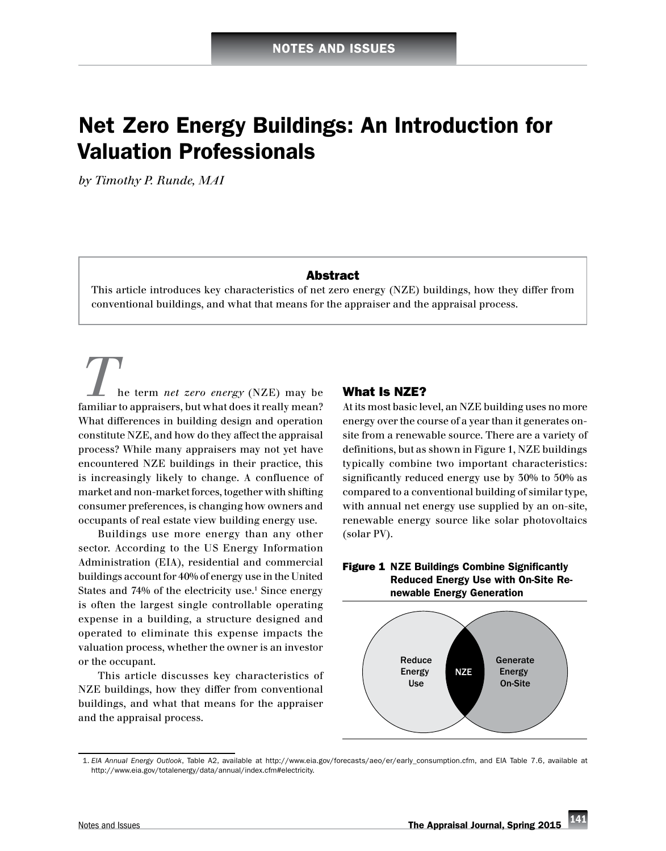# Net Zero Energy Buildings: An Introduction for Valuation Professionals

*by Timothy P. Runde, MAI*

#### Abstract

This article introduces key characteristics of net zero energy (NZE) buildings, how they differ from conventional buildings, and what that means for the appraiser and the appraisal process.

*T*he term *net zero energy* (NZE) may be familiar to appraisers, but what does it really mean? What differences in building design and operation constitute NZE, and how do they affect the appraisal process? While many appraisers may not yet have encountered NZE buildings in their practice, this is increasingly likely to change. A confluence of market and non-market forces, together with shifting consumer preferences, is changing how owners and occupants of real estate view building energy use.

Buildings use more energy than any other sector. According to the US Energy Information Administration (EIA), residential and commercial buildings account for 40% of energy use in the United States and 74% of the electricity use.<sup>1</sup> Since energy is often the largest single controllable operating expense in a building, a structure designed and operated to eliminate this expense impacts the valuation process, whether the owner is an investor or the occupant.

This article discusses key characteristics of NZE buildings, how they differ from conventional buildings, and what that means for the appraiser and the appraisal process.

# What Is NZE?

At its most basic level, an NZE building uses no more energy over the course of a year than it generates onsite from a renewable source. There are a variety of definitions, but as shown in Figure 1, NZE buildings typically combine two important characteristics: significantly reduced energy use by 30% to 50% as compared to a conventional building of similar type, with annual net energy use supplied by an on-site, renewable energy source like solar photovoltaics (solar PV).





 <sup>1.</sup> *EIA Annual Energy Outlook*, Table A2, available at [http://www.eia.gov/forecasts/aeo/er/early\\_consumption.cfm](http://www.eia.gov/forecasts/aeo/er/early_consumption.cfm), and EIA Table 7.6, available at <http://www.eia.gov/totalenergy/data/annual/index.cfm#electricity>.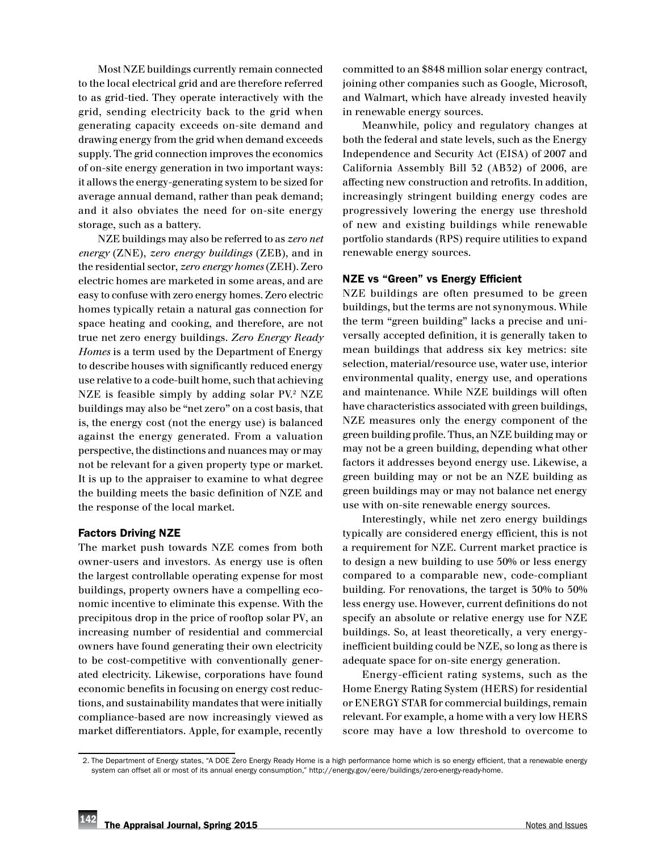Most NZE buildings currently remain connected to the local electrical grid and are therefore referred to as grid-tied. They operate interactively with the grid, sending electricity back to the grid when generating capacity exceeds on-site demand and drawing energy from the grid when demand exceeds supply. The grid connection improves the economics of on-site energy generation in two important ways: it allows the energy-generating system to be sized for average annual demand, rather than peak demand; and it also obviates the need for on-site energy storage, such as a battery.

NZE buildings may also be referred to as *zero net energy* (ZNE), *zero energy buildings* (ZEB), and in the residential sector, *zero energy homes* (ZEH). Zero electric homes are marketed in some areas, and are easy to confuse with zero energy homes. Zero electric homes typically retain a natural gas connection for space heating and cooking, and therefore, are not true net zero energy buildings. *Zero Energy Ready Homes* is a term used by the Department of Energy to describe houses with significantly reduced energy use relative to a code-built home, such that achieving NZE is feasible simply by adding solar PV.<sup>2</sup> NZE buildings may also be "net zero" on a cost basis, that is, the energy cost (not the energy use) is balanced against the energy generated. From a valuation perspective, the distinctions and nuances may or may not be relevant for a given property type or market. It is up to the appraiser to examine to what degree the building meets the basic definition of NZE and the response of the local market.

#### Factors Driving NZE

The market push towards NZE comes from both owner-users and investors. As energy use is often the largest controllable operating expense for most buildings, property owners have a compelling economic incentive to eliminate this expense. With the precipitous drop in the price of rooftop solar PV, an increasing number of residential and commercial owners have found generating their own electricity to be cost-competitive with conventionally generated electricity. Likewise, corporations have found economic benefits in focusing on energy cost reductions, and sustainability mandates that were initially compliance-based are now increasingly viewed as market differentiators. Apple, for example, recently committed to an \$848 million solar energy contract, joining other companies such as Google, Microsoft, and Walmart, which have already invested heavily in renewable energy sources.

Meanwhile, policy and regulatory changes at both the federal and state levels, such as the Energy Independence and Security Act (EISA) of 2007 and California Assembly Bill 32 (AB32) of 2006, are affecting new construction and retrofits. In addition, increasingly stringent building energy codes are progressively lowering the energy use threshold of new and existing buildings while renewable portfolio standards (RPS) require utilities to expand renewable energy sources.

## NZE vs "Green" vs Energy Efficient

NZE buildings are often presumed to be green buildings, but the terms are not synonymous. While the term "green building" lacks a precise and universally accepted definition, it is generally taken to mean buildings that address six key metrics: site selection, material/resource use, water use, interior environmental quality, energy use, and operations and maintenance. While NZE buildings will often have characteristics associated with green buildings, NZE measures only the energy component of the green building profile. Thus, an NZE building may or may not be a green building, depending what other factors it addresses beyond energy use. Likewise, a green building may or not be an NZE building as green buildings may or may not balance net energy use with on-site renewable energy sources.

Interestingly, while net zero energy buildings typically are considered energy efficient, this is not a requirement for NZE. Current market practice is to design a new building to use 50% or less energy compared to a comparable new, code-compliant building. For renovations, the target is 30% to 50% less energy use. However, current definitions do not specify an absolute or relative energy use for NZE buildings. So, at least theoretically, a very energyinefficient building could be NZE, so long as there is adequate space for on-site energy generation.

Energy-efficient rating systems, such as the Home Energy Rating System (HERS) for residential or ENERGY STAR for commercial buildings, remain relevant. For example, a home with a very low HERS score may have a low threshold to overcome to

 <sup>2.</sup> The Department of Energy states, "A DOE Zero Energy Ready Home is a high performance home which is so energy efficient, that a renewable energy system can offset all or most of its annual energy consumption," [http://energy.gov/eere/buildings/zero-energy-ready-home.](http://energy.gov/eere/buildings/zero-energy-ready-home)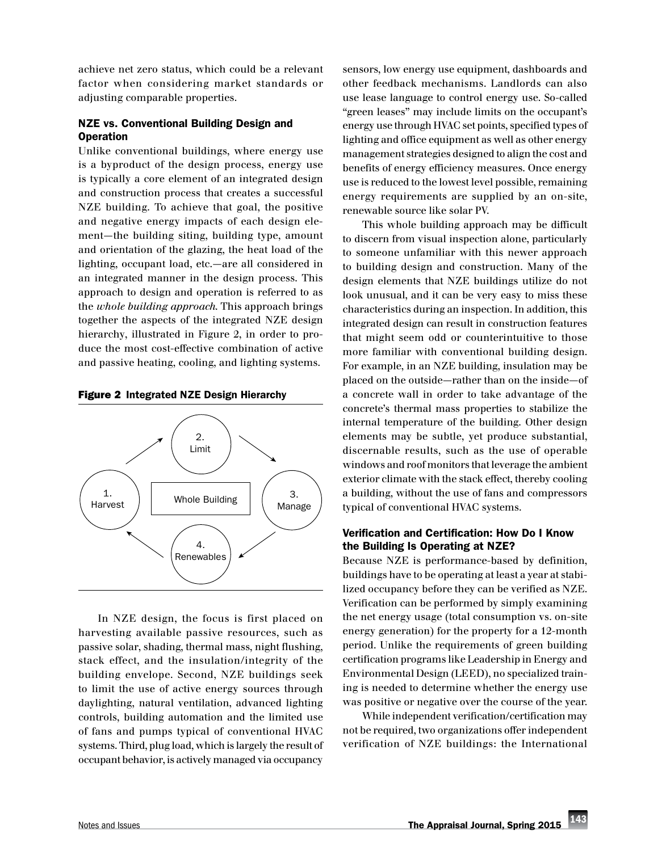achieve net zero status, which could be a relevant factor when considering market standards or adjusting comparable properties.

# NZE vs. Conventional Building Design and **Operation**

Unlike conventional buildings, where energy use is a byproduct of the design process, energy use is typically a core element of an integrated design and construction process that creates a successful NZE building. To achieve that goal, the positive and negative energy impacts of each design element—the building siting, building type, amount and orientation of the glazing, the heat load of the lighting, occupant load, etc.—are all considered in an integrated manner in the design process. This approach to design and operation is referred to as the *whole building approach*. This approach brings together the aspects of the integrated NZE design hierarchy, illustrated in Figure 2, in order to produce the most cost-effective combination of active and passive heating, cooling, and lighting systems.

Figure 2 Integrated NZE Design Hierarchy



In NZE design, the focus is first placed on harvesting available passive resources, such as passive solar, shading, thermal mass, night flushing, stack effect, and the insulation/integrity of the building envelope. Second, NZE buildings seek to limit the use of active energy sources through daylighting, natural ventilation, advanced lighting controls, building automation and the limited use of fans and pumps typical of conventional HVAC systems. Third, plug load, which is largely the result of occupant behavior, is actively managed via occupancy

sensors, low energy use equipment, dashboards and other feedback mechanisms. Landlords can also use lease language to control energy use. So-called "green leases" may include limits on the occupant's energy use through HVAC set points, specified types of lighting and office equipment as well as other energy management strategies designed to align the cost and benefits of energy efficiency measures. Once energy use is reduced to the lowest level possible, remaining energy requirements are supplied by an on-site, renewable source like solar PV.

This whole building approach may be difficult to discern from visual inspection alone, particularly to someone unfamiliar with this newer approach to building design and construction. Many of the design elements that NZE buildings utilize do not look unusual, and it can be very easy to miss these characteristics during an inspection. In addition, this integrated design can result in construction features that might seem odd or counterintuitive to those more familiar with conventional building design. For example, in an NZE building, insulation may be placed on the outside—rather than on the inside—of a concrete wall in order to take advantage of the concrete's thermal mass properties to stabilize the internal temperature of the building. Other design elements may be subtle, yet produce substantial, discernable results, such as the use of operable windows and roof monitors that leverage the ambient exterior climate with the stack effect, thereby cooling a building, without the use of fans and compressors typical of conventional HVAC systems.

## Verification and Certification: How Do I Know the Building Is Operating at NZE?

Because NZE is performance-based by definition, buildings have to be operating at least a year at stabilized occupancy before they can be verified as NZE. Verification can be performed by simply examining the net energy usage (total consumption vs. on-site energy generation) for the property for a 12-month period. Unlike the requirements of green building certification programs like Leadership in Energy and Environmental Design (LEED), no specialized training is needed to determine whether the energy use was positive or negative over the course of the year.

While independent verification/certification may not be required, two organizations offer independent verification of NZE buildings: the International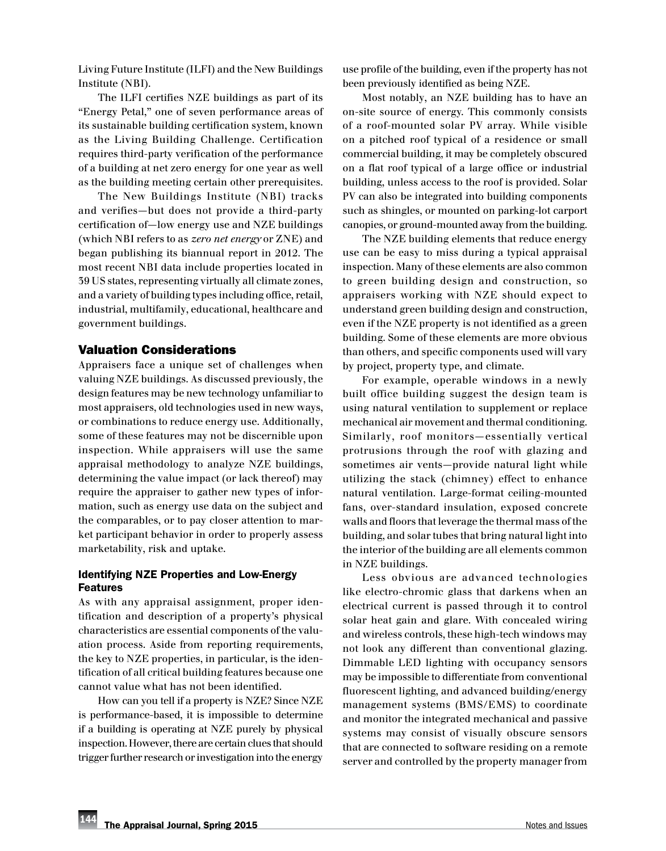Living Future Institute (ILFI) and the New Buildings Institute (NBI).

The ILFI certifies NZE buildings as part of its "Energy Petal," one of seven performance areas of its sustainable building certification system, known as the Living Building Challenge. Certification requires third-party verification of the performance of a building at net zero energy for one year as well as the building meeting certain other prerequisites.

The New Buildings Institute (NBI) tracks and verifies—but does not provide a third-party certification of—low energy use and NZE buildings (which NBI refers to as *zero net energy* or ZNE) and began publishing its biannual report in 2012. The most recent NBI data include properties located in 39 US states, representing virtually all climate zones, and a variety of building types including office, retail, industrial, multifamily, educational, healthcare and government buildings.

## Valuation Considerations

Appraisers face a unique set of challenges when valuing NZE buildings. As discussed previously, the design features may be new technology unfamiliar to most appraisers, old technologies used in new ways, or combinations to reduce energy use. Additionally, some of these features may not be discernible upon inspection. While appraisers will use the same appraisal methodology to analyze NZE buildings, determining the value impact (or lack thereof) may require the appraiser to gather new types of information, such as energy use data on the subject and the comparables, or to pay closer attention to market participant behavior in order to properly assess marketability, risk and uptake.

## Identifying NZE Properties and Low-Energy Features

As with any appraisal assignment, proper identification and description of a property's physical characteristics are essential components of the valuation process. Aside from reporting requirements, the key to NZE properties, in particular, is the identification of all critical building features because one cannot value what has not been identified.

How can you tell if a property is NZE? Since NZE is performance-based, it is impossible to determine if a building is operating at NZE purely by physical inspection. However, there are certain clues that should trigger further research or investigation into the energy use profile of the building, even if the property has not been previously identified as being NZE.

Most notably, an NZE building has to have an on-site source of energy. This commonly consists of a roof-mounted solar PV array. While visible on a pitched roof typical of a residence or small commercial building, it may be completely obscured on a flat roof typical of a large office or industrial building, unless access to the roof is provided. Solar PV can also be integrated into building components such as shingles, or mounted on parking-lot carport canopies, or ground-mounted away from the building.

The NZE building elements that reduce energy use can be easy to miss during a typical appraisal inspection. Many of these elements are also common to green building design and construction, so appraisers working with NZE should expect to understand green building design and construction, even if the NZE property is not identified as a green building. Some of these elements are more obvious than others, and specific components used will vary by project, property type, and climate.

For example, operable windows in a newly built office building suggest the design team is using natural ventilation to supplement or replace mechanical air movement and thermal conditioning. Similarly, roof monitors—essentially vertical protrusions through the roof with glazing and sometimes air vents—provide natural light while utilizing the stack (chimney) effect to enhance natural ventilation. Large-format ceiling-mounted fans, over-standard insulation, exposed concrete walls and floors that leverage the thermal mass of the building, and solar tubes that bring natural light into the interior of the building are all elements common in NZE buildings.

Less obvious are advanced technologies like electro-chromic glass that darkens when an electrical current is passed through it to control solar heat gain and glare. With concealed wiring and wireless controls, these high-tech windows may not look any different than conventional glazing. Dimmable LED lighting with occupancy sensors may be impossible to differentiate from conventional fluorescent lighting, and advanced building/energy management systems (BMS/EMS) to coordinate and monitor the integrated mechanical and passive systems may consist of visually obscure sensors that are connected to software residing on a remote server and controlled by the property manager from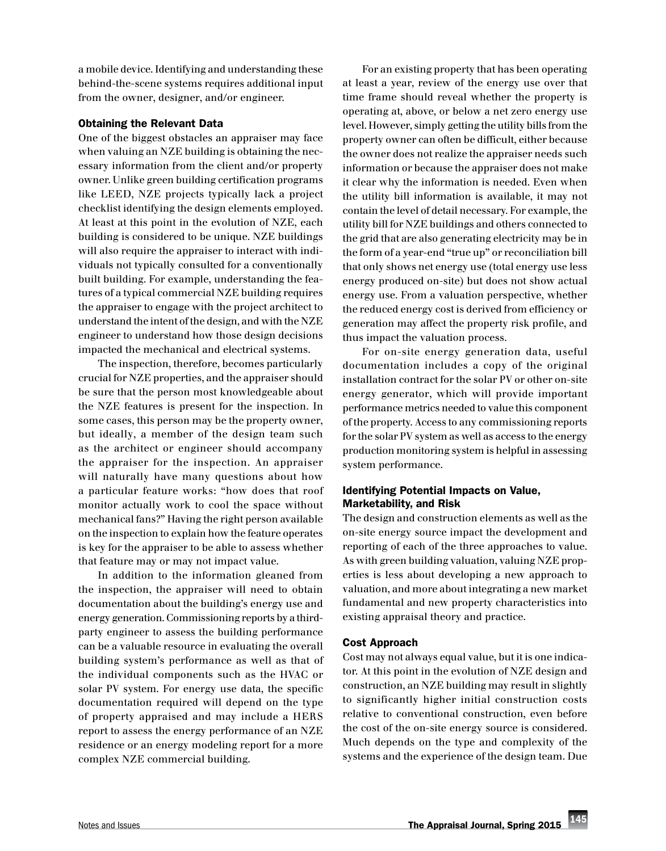a mobile device. Identifying and understanding these behind-the-scene systems requires additional input from the owner, designer, and/or engineer.

## Obtaining the Relevant Data

One of the biggest obstacles an appraiser may face when valuing an NZE building is obtaining the necessary information from the client and/or property owner. Unlike green building certification programs like LEED, NZE projects typically lack a project checklist identifying the design elements employed. At least at this point in the evolution of NZE, each building is considered to be unique. NZE buildings will also require the appraiser to interact with individuals not typically consulted for a conventionally built building. For example, understanding the features of a typical commercial NZE building requires the appraiser to engage with the project architect to understand the intent of the design, and with the NZE engineer to understand how those design decisions impacted the mechanical and electrical systems.

The inspection, therefore, becomes particularly crucial for NZE properties, and the appraiser should be sure that the person most knowledgeable about the NZE features is present for the inspection. In some cases, this person may be the property owner, but ideally, a member of the design team such as the architect or engineer should accompany the appraiser for the inspection. An appraiser will naturally have many questions about how a particular feature works: "how does that roof monitor actually work to cool the space without mechanical fans?" Having the right person available on the inspection to explain how the feature operates is key for the appraiser to be able to assess whether that feature may or may not impact value.

In addition to the information gleaned from the inspection, the appraiser will need to obtain documentation about the building's energy use and energy generation. Commissioning reports by a thirdparty engineer to assess the building performance can be a valuable resource in evaluating the overall building system's performance as well as that of the individual components such as the HVAC or solar PV system. For energy use data, the specific documentation required will depend on the type of property appraised and may include a HERS report to assess the energy performance of an NZE residence or an energy modeling report for a more complex NZE commercial building.

For an existing property that has been operating at least a year, review of the energy use over that time frame should reveal whether the property is operating at, above, or below a net zero energy use level. However, simply getting the utility bills from the property owner can often be difficult, either because the owner does not realize the appraiser needs such information or because the appraiser does not make it clear why the information is needed. Even when the utility bill information is available, it may not contain the level of detail necessary. For example, the utility bill for NZE buildings and others connected to the grid that are also generating electricity may be in the form of a year-end "true up" or reconciliation bill that only shows net energy use (total energy use less energy produced on-site) but does not show actual energy use. From a valuation perspective, whether the reduced energy cost is derived from efficiency or generation may affect the property risk profile, and thus impact the valuation process.

For on-site energy generation data, useful documentation includes a copy of the original installation contract for the solar PV or other on-site energy generator, which will provide important performance metrics needed to value this component of the property. Access to any commissioning reports for the solar PV system as well as access to the energy production monitoring system is helpful in assessing system performance.

# Identifying Potential Impacts on Value, Marketability, and Risk

The design and construction elements as well as the on-site energy source impact the development and reporting of each of the three approaches to value. As with green building valuation, valuing NZE properties is less about developing a new approach to valuation, and more about integrating a new market fundamental and new property characteristics into existing appraisal theory and practice.

#### Cost Approach

Cost may not always equal value, but it is one indicator. At this point in the evolution of NZE design and construction, an NZE building may result in slightly to significantly higher initial construction costs relative to conventional construction, even before the cost of the on-site energy source is considered. Much depends on the type and complexity of the systems and the experience of the design team. Due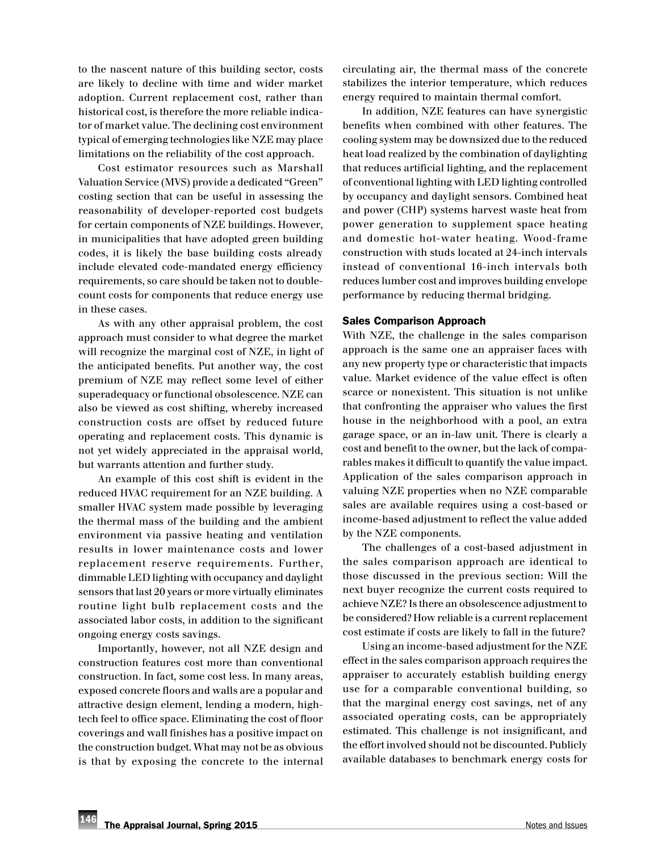to the nascent nature of this building sector, costs are likely to decline with time and wider market adoption. Current replacement cost, rather than historical cost, is therefore the more reliable indicator of market value. The declining cost environment typical of emerging technologies like NZE may place limitations on the reliability of the cost approach.

Cost estimator resources such as Marshall Valuation Service (MVS) provide a dedicated "Green" costing section that can be useful in assessing the reasonability of developer-reported cost budgets for certain components of NZE buildings. However, in municipalities that have adopted green building codes, it is likely the base building costs already include elevated code-mandated energy efficiency requirements, so care should be taken not to doublecount costs for components that reduce energy use in these cases.

As with any other appraisal problem, the cost approach must consider to what degree the market will recognize the marginal cost of NZE, in light of the anticipated benefits. Put another way, the cost premium of NZE may reflect some level of either superadequacy or functional obsolescence. NZE can also be viewed as cost shifting, whereby increased construction costs are offset by reduced future operating and replacement costs. This dynamic is not yet widely appreciated in the appraisal world, but warrants attention and further study.

An example of this cost shift is evident in the reduced HVAC requirement for an NZE building. A smaller HVAC system made possible by leveraging the thermal mass of the building and the ambient environment via passive heating and ventilation results in lower maintenance costs and lower replacement reserve requirements. Further, dimmable LED lighting with occupancy and daylight sensors that last 20 years or more virtually eliminates routine light bulb replacement costs and the associated labor costs, in addition to the significant ongoing energy costs savings.

Importantly, however, not all NZE design and construction features cost more than conventional construction. In fact, some cost less. In many areas, exposed concrete floors and walls are a popular and attractive design element, lending a modern, hightech feel to office space. Eliminating the cost of floor coverings and wall finishes has a positive impact on the construction budget. What may not be as obvious is that by exposing the concrete to the internal circulating air, the thermal mass of the concrete stabilizes the interior temperature, which reduces energy required to maintain thermal comfort.

In addition, NZE features can have synergistic benefits when combined with other features. The cooling system may be downsized due to the reduced heat load realized by the combination of daylighting that reduces artificial lighting, and the replacement of conventional lighting with LED lighting controlled by occupancy and daylight sensors. Combined heat and power (CHP) systems harvest waste heat from power generation to supplement space heating and domestic hot-water heating. Wood-frame construction with studs located at 24-inch intervals instead of conventional 16-inch intervals both reduces lumber cost and improves building envelope performance by reducing thermal bridging.

#### Sales Comparison Approach

With NZE, the challenge in the sales comparison approach is the same one an appraiser faces with any new property type or characteristic that impacts value. Market evidence of the value effect is often scarce or nonexistent. This situation is not unlike that confronting the appraiser who values the first house in the neighborhood with a pool, an extra garage space, or an in-law unit. There is clearly a cost and benefit to the owner, but the lack of comparables makes it difficult to quantify the value impact. Application of the sales comparison approach in valuing NZE properties when no NZE comparable sales are available requires using a cost-based or income-based adjustment to reflect the value added by the NZE components.

The challenges of a cost-based adjustment in the sales comparison approach are identical to those discussed in the previous section: Will the next buyer recognize the current costs required to achieve NZE? Is there an obsolescence adjustment to be considered? How reliable is a current replacement cost estimate if costs are likely to fall in the future?

Using an income-based adjustment for the NZE effect in the sales comparison approach requires the appraiser to accurately establish building energy use for a comparable conventional building, so that the marginal energy cost savings, net of any associated operating costs, can be appropriately estimated. This challenge is not insignificant, and the effort involved should not be discounted. Publicly available databases to benchmark energy costs for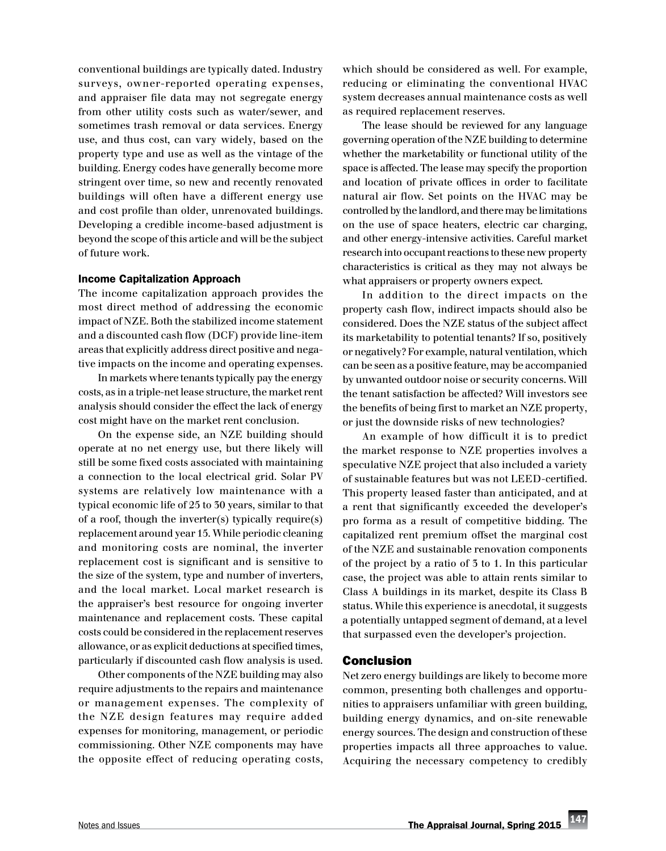conventional buildings are typically dated. Industry surveys, owner-reported operating expenses, and appraiser file data may not segregate energy from other utility costs such as water/sewer, and sometimes trash removal or data services. Energy use, and thus cost, can vary widely, based on the property type and use as well as the vintage of the building. Energy codes have generally become more stringent over time, so new and recently renovated buildings will often have a different energy use and cost profile than older, unrenovated buildings. Developing a credible income-based adjustment is beyond the scope of this article and will be the subject of future work.

#### Income Capitalization Approach

The income capitalization approach provides the most direct method of addressing the economic impact of NZE. Both the stabilized income statement and a discounted cash flow (DCF) provide line-item areas that explicitly address direct positive and negative impacts on the income and operating expenses.

In markets where tenants typically pay the energy costs, as in a triple-net lease structure, the market rent analysis should consider the effect the lack of energy cost might have on the market rent conclusion.

On the expense side, an NZE building should operate at no net energy use, but there likely will still be some fixed costs associated with maintaining a connection to the local electrical grid. Solar PV systems are relatively low maintenance with a typical economic life of 25 to 30 years, similar to that of a roof, though the inverter(s) typically require(s) replacement around year 15. While periodic cleaning and monitoring costs are nominal, the inverter replacement cost is significant and is sensitive to the size of the system, type and number of inverters, and the local market. Local market research is the appraiser's best resource for ongoing inverter maintenance and replacement costs. These capital costs could be considered in the replacement reserves allowance, or as explicit deductions at specified times, particularly if discounted cash flow analysis is used.

Other components of the NZE building may also require adjustments to the repairs and maintenance or management expenses. The complexity of the NZE design features may require added expenses for monitoring, management, or periodic commissioning. Other NZE components may have the opposite effect of reducing operating costs,

which should be considered as well. For example, reducing or eliminating the conventional HVAC system decreases annual maintenance costs as well as required replacement reserves.

The lease should be reviewed for any language governing operation of the NZE building to determine whether the marketability or functional utility of the space is affected. The lease may specify the proportion and location of private offices in order to facilitate natural air flow. Set points on the HVAC may be controlled by the landlord, and there may be limitations on the use of space heaters, electric car charging, and other energy-intensive activities. Careful market research into occupant reactions to these new property characteristics is critical as they may not always be what appraisers or property owners expect.

In addition to the direct impacts on the property cash flow, indirect impacts should also be considered. Does the NZE status of the subject affect its marketability to potential tenants? If so, positively or negatively? For example, natural ventilation, which can be seen as a positive feature, may be accompanied by unwanted outdoor noise or security concerns. Will the tenant satisfaction be affected? Will investors see the benefits of being first to market an NZE property, or just the downside risks of new technologies?

An example of how difficult it is to predict the market response to NZE properties involves a speculative NZE project that also included a variety of sustainable features but was not LEED-certified. This property leased faster than anticipated, and at a rent that significantly exceeded the developer's pro forma as a result of competitive bidding. The capitalized rent premium offset the marginal cost of the NZE and sustainable renovation components of the project by a ratio of 3 to 1. In this particular case, the project was able to attain rents similar to Class A buildings in its market, despite its Class B status. While this experience is anecdotal, it suggests a potentially untapped segment of demand, at a level that surpassed even the developer's projection.

## Conclusion

Net zero energy buildings are likely to become more common, presenting both challenges and opportunities to appraisers unfamiliar with green building, building energy dynamics, and on-site renewable energy sources. The design and construction of these properties impacts all three approaches to value. Acquiring the necessary competency to credibly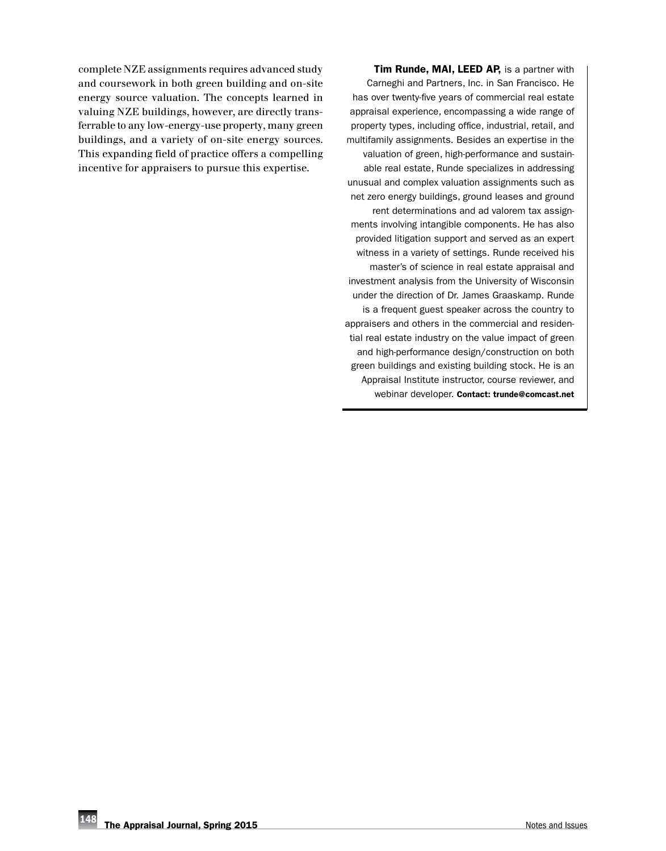complete NZE assignments requires advanced study and coursework in both green building and on-site energy source valuation. The concepts learned in valuing NZE buildings, however, are directly transferrable to any low-energy-use property, many green buildings, and a variety of on-site energy sources. This expanding field of practice offers a compelling incentive for appraisers to pursue this expertise.

Tim Runde, MAI, LEED AP, is a partner with Carneghi and Partners, Inc. in San Francisco. He has over twenty-five years of commercial real estate appraisal experience, encompassing a wide range of property types, including office, industrial, retail, and multifamily assignments. Besides an expertise in the valuation of green, high-performance and sustainable real estate, Runde specializes in addressing unusual and complex valuation assignments such as net zero energy buildings, ground leases and ground rent determinations and ad valorem tax assignments involving intangible components. He has also provided litigation support and served as an expert witness in a variety of settings. Runde received his master's of science in real estate appraisal and investment analysis from the University of Wisconsin under the direction of Dr. James Graaskamp. Runde is a frequent guest speaker across the country to appraisers and others in the commercial and residential real estate industry on the value impact of green and high-performance design/construction on both green buildings and existing building stock. He is an Appraisal Institute instructor, course reviewer, and webinar developer. Contact: [trunde@comcast.](mailto:trunde%40comcast.net?subject=Appraisal%20Journal%20Inquiry)net